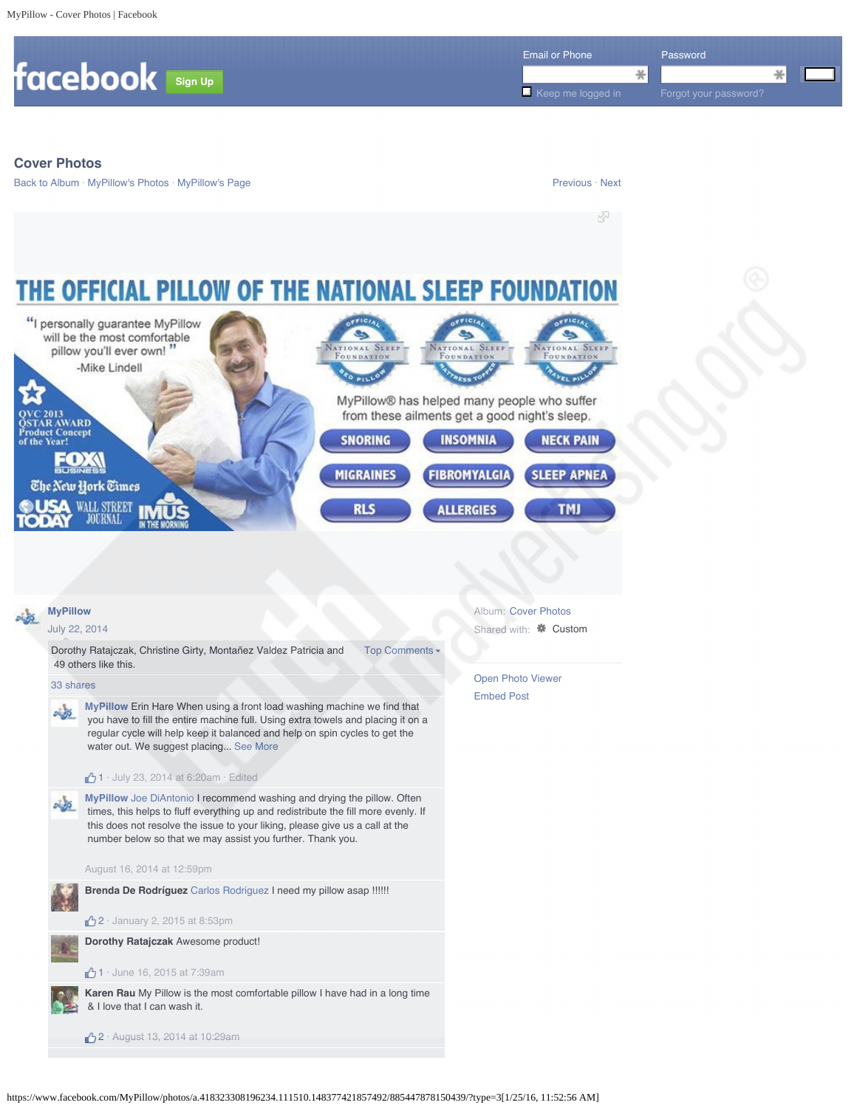

1 · July 23, 2014 at 6:20am · Edited

**MyPillow** Joe DiAntonio I recommend washing and drying the pillow. Often  $24.56$  times, this helps to fluff everything up and redistribute the fill more evenly. If this does not resolve the issue to your liking, please give us a call at the number below so that we may assist you further. Thank you.

# August 16, 2014 at 12:59pm

**Brenda De Rodríguez** Carlos Rodriguez I need my pillow asap !!!!!!

**42** · January 2, 2015 at 8:53pm

**Dorothy Ratajczak** Awesome product!

## $1 \cdot$  June 16, 2015 at 7:39am

**Karen Rau** My Pillow is the most comfortable pillow I have had in a long time & I love that I can wash it.

<sup>1</sup>/2 · August 13, 2014 at 10:29am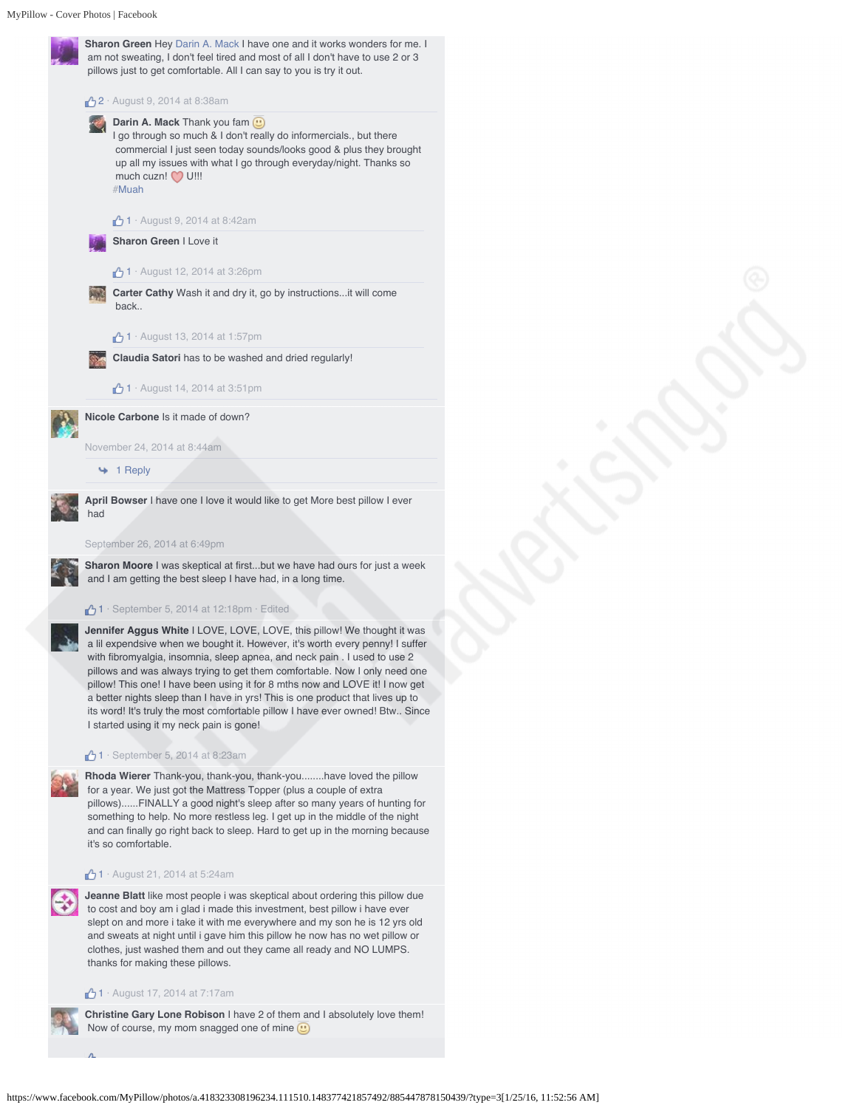

September 26, 2014 at 6:49pm

**Sharon Moore** I was skeptical at first...but we have had ours for just a week and I am getting the best sleep I have had, in a long time.

## $1 \cdot$  September 5, 2014 at 12:18pm  $\cdot$  Edited

**Jennifer Aggus White** I LOVE, LOVE, LOVE, this pillow! We thought it was a lil expendsive when we bought it. However, it's worth every penny! I suffer with fibromyalgia, insomnia, sleep apnea, and neck pain . I used to use 2 pillows and was always trying to get them comfortable. Now I only need one pillow! This one! I have been using it for 8 mths now and LOVE it! I now get a better nights sleep than I have in yrs! This is one product that lives up to its word! It's truly the most comfortable pillow I have ever owned! Btw.. Since I started using it my neck pain is gone!

#### $1 \cdot$  September 5, 2014 at 8:23am

**Rhoda Wierer** Thank-you, thank-you, thank-you........have loved the pillow for a year. We just got the Mattress Topper (plus a couple of extra pillows)......FINALLY a good night's sleep after so many years of hunting for something to help. No more restless leg. I get up in the middle of the night and can finally go right back to sleep. Hard to get up in the morning because it's so comfortable.

## $\bigoplus$  1 · August 21, 2014 at 5:24am

**Jeanne Blatt** like most people i was skeptical about ordering this pillow due to cost and boy am i glad i made this investment, best pillow i have ever slept on and more i take it with me everywhere and my son he is 12 yrs old and sweats at night until i gave him this pillow he now has no wet pillow or clothes, just washed them and out they came all ready and NO LUMPS. thanks for making these pillows.

## $\bigoplus$  1 · August 17, 2014 at 7:17am



**Christine Gary Lone Robison** I have 2 of them and I absolutely love them! Now of course, my mom snagged one of mine  $\bigcirc$